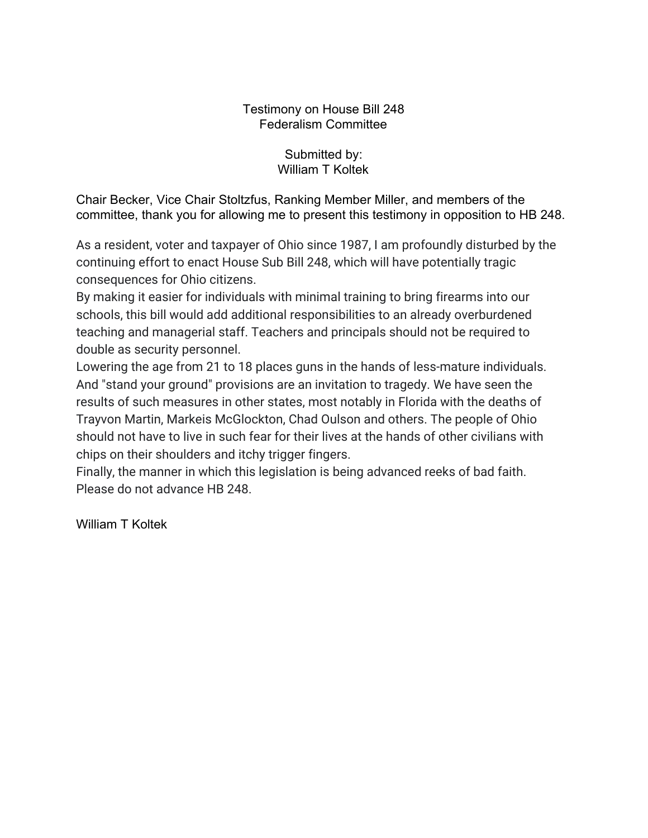## Testimony on House Bill 248 Federalism Committee

Submitted by: William T Koltek

Chair Becker, Vice Chair Stoltzfus, Ranking Member Miller, and members of the committee, thank you for allowing me to present this testimony in opposition to HB 248.

As a resident, voter and taxpayer of Ohio since 1987, I am profoundly disturbed by the continuing effort to enact House Sub Bill 248, which will have potentially tragic consequences for Ohio citizens.

By making it easier for individuals with minimal training to bring firearms into our schools, this bill would add additional responsibilities to an already overburdened teaching and managerial staff. Teachers and principals should not be required to double as security personnel.

Lowering the age from 21 to 18 places guns in the hands of less-mature individuals. And "stand your ground" provisions are an invitation to tragedy. We have seen the results of such measures in other states, most notably in Florida with the deaths of Trayvon Martin, Markeis McGlockton, Chad Oulson and others. The people of Ohio should not have to live in such fear for their lives at the hands of other civilians with chips on their shoulders and itchy trigger fingers.

Finally, the manner in which this legislation is being advanced reeks of bad faith. Please do not advance HB 248.

William T Koltek